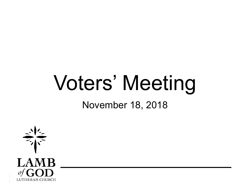# Voters' Meeting

November 18, 2018

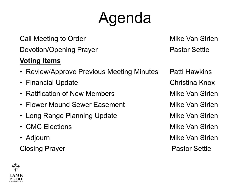### Agenda

Call Meeting to Order **Mike Van Strien** Call Meeting to Order Devotion/Opening Prayer **Pastor Settle** Pastor Settle

#### **Voting Items**

- Review/Approve Previous Meeting Minutes Patti Hawkins
- Financial Update **Christina Knox**
- Ratification of New Members **Mike Van Strien**
- Flower Mound Sewer Easement Mike Van Strien
- Long Range Planning Update **Mike Van Strien**
- CMC Elections **Mike Van Strien**
- 

Closing Prayer **Pastor Settle** 

• Adjourn Mike Van Strien

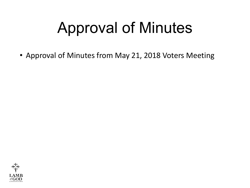## Approval of Minutes

• Approval of Minutes from May 21, 2018 Voters Meeting

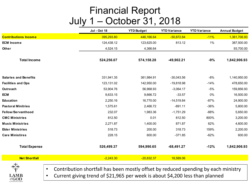#### Financial Report July 1 – October 31, 2018

|                              | <b>Jul - Oct 18</b>                                                                | <b>YTD Budget</b> | <b>YTD Variance</b> | <b>YTD Variance</b> | <b>Annual Budget</b> |
|------------------------------|------------------------------------------------------------------------------------|-------------------|---------------------|---------------------|----------------------|
| <b>Contributions Income</b>  | 395,293.80                                                                         | 446,166.64        | $-50,872.84$        | $-11%$              | 1,361,706.93         |
| <b>ECM</b> Income            | 124,438.12                                                                         | 123,625.00        | 813.12              | 1%                  | 387,500.00           |
| Other                        | 4,524.15                                                                           | 4,366.64          |                     |                     | 93,700.00            |
| <b>Total Income</b>          | 524,256.07                                                                         | 574,158.28        | -49,902.21          | $-9%$               | 1,842,906.93         |
| <b>Salaries and Benefits</b> | 331,941.35                                                                         | 361,984.91        | $-30,043.56$        | $-8%$               | 1,140,950.00         |
| <b>Facilities and Ops</b>    | 123,131.02                                                                         | 142,950.00        | $-19,818.98$        | $-14%$              | 478,650.00           |
| Outreach                     | 53,904.76                                                                          | 56,968.93         | $-3,064.17$         | $-5%$               | 159,856.93           |
| <b>ECM</b>                   | 9,633.15                                                                           | 9,666.72          | $-33.57$            | 0%                  | 16,500.00            |
| <b>Education</b>             | 2,250.16                                                                           | 16,770.00         | $-14,519.84$        | $-87%$              | 24,900.00            |
| <b>Pastoral Minitries</b>    | 1,575.61                                                                           | 2,466.72          | $-891.11$           | $-36%$              | 5,800.00             |
| Fellow/Servanthood           | 232.07                                                                             | 1,983.36          | $-1,751.29$         | $-88%$              | 5,650.00             |
| <b>CMC Ministries</b>        | 812.50                                                                             | 0.01              | 812.50              | 800%                | 3,200.00             |
| <b>Music Ministries</b>      | 2,271.87                                                                           | 1,400.00          | 871.87              | 62%                 | 4,600.00             |
| <b>Elder Ministries</b>      | 518.73                                                                             | 200.00            | 318.73              | 159%                | 2,200.00             |
| <b>Care Ministires</b>       | 228.15                                                                             | 600.00            | $-371.85$           | $-62%$              | 600.00               |
| <b>Total Expense</b>         | 526,499.37                                                                         | 594,990.65        | $-68,491.27$        | $-12%$              | 1,842,906.93         |
| <b>Net Shortfall</b>         | $-2,243.30$                                                                        | $-20,832.37$      | 18,589.06           |                     |                      |
| $\bullet$                    | Contribution shortfall has been mostly offset by reduced spending by each ministry |                   |                     |                     |                      |

• Current giving trend of \$21,965 per week is about \$4,200 less than planned

of  $GOD$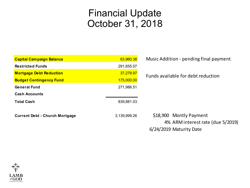#### Financial Update October 31, 2018

| <b>Capital Campaign Balance</b>       | 63,960.38    | Mι |
|---------------------------------------|--------------|----|
| <b>Restricted Funds</b>               | 291,655.07   |    |
| <b>Mortgage Debt Reduction</b>        | 37,278.97    | Fu |
| <b>Budget Contingency Fund</b>        | 175,000.00   |    |
| <b>General Fund</b>                   | 271,986.51   |    |
| <b>Cash Accounts</b>                  |              |    |
| <b>Total Cash</b>                     | 839,881.03   |    |
| <b>Current Debt - Church Mortgage</b> | 3,139,999.26 |    |
|                                       |              |    |

usic Addition - pending final payment

#### Inds available for debt reduction

\$18,900 Montly Payment 4% ARM interest rate (due 5/2019) 6/24/2019 Maturity Date

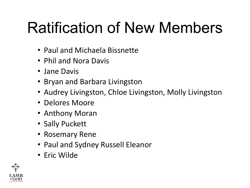## Ratification of New Members

- Paul and Michaela Bissnette
- Phil and Nora Davis
- Jane Davis
- Bryan and Barbara Livingston
- Audrey Livingston, Chloe Livingston, Molly Livingston
- Delores Moore
- Anthony Moran
- Sally Puckett
- Rosemary Rene
- Paul and Sydney Russell Eleanor
- Eric Wilde

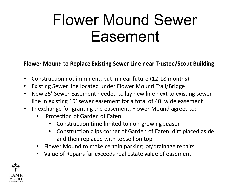### Flower Mound Sewer Easement

**Flower Mound to Replace Existing Sewer Line near Trustee/Scout Building**

- Construction not imminent, but in near future (12-18 months)
- Existing Sewer line located under Flower Mound Trail/Bridge
- New 25' Sewer Easement needed to lay new line next to existing sewer line in existing 15' sewer easement for a total of 40' wide easement
- In exchange for granting the easement, Flower Mound agrees to:
	- Protection of Garden of Eaten
		- Construction time limited to non-growing season
		- Construction clips corner of Garden of Eaten, dirt placed aside and then replaced with topsoil on top
	- Flower Mound to make certain parking lot/drainage repairs
	- Value of Repairs far exceeds real estate value of easement

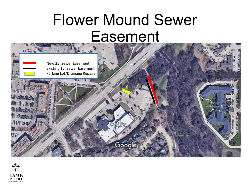### Flower Mound Sewer Easement



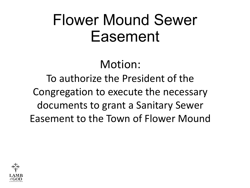### Flower Mound Sewer Easement

#### Motion:

#### To authorize the President of the Congregation to execute the necessary documents to grant a Sanitary Sewer Easement to the Town of Flower Mound

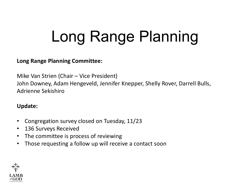## Long Range Planning

#### **Long Range Planning Committee:**

Mike Van Strien (Chair – Vice President) John Downey, Adam Hengeveld, Jennifer Knepper, Shelly Rover, Darrell Bulls, Adrienne Sekishiro

#### **Update:**

- Congregation survey closed on Tuesday, 11/23
- 136 Surveys Received
- The committee is process of reviewing
- Those requesting a follow up will receive a contact soon

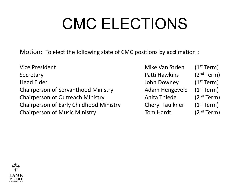## CMC ELECTIONS

Motion: To elect the following slate of CMC positions by acclimation :

Vice President Mike Van Strien (1st Term) Secretary **Patti Hawkins** (2<sup>nd</sup> Term) Head Elder **Internal Elder** John Downey (1st Term) Chairperson of Servanthood Ministry **Adam Hengeveld** (1<sup>st</sup> Term) Chairperson of Outreach Ministry **Anita Thiede** (2<sup>nd</sup> Term) Chairperson of Early Childhood Ministry Cheryl Faulkner (1<sup>st</sup> Term) Chairperson of Music Ministry **Tom Hardt** (2<sup>nd</sup> Term)

- 
- 
- 
- 
-